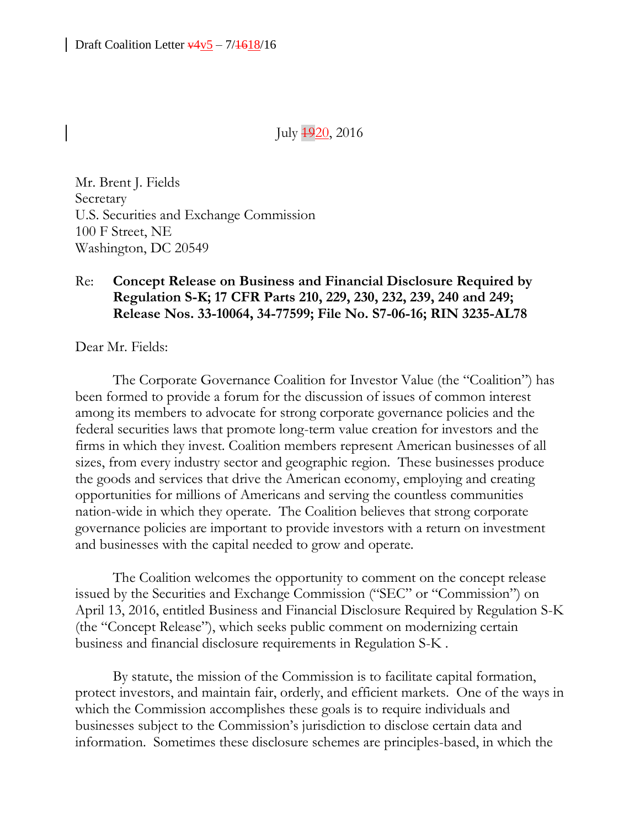July  $\frac{4920}{20}$ , 2016

Mr. Brent J. Fields Secretary U.S. Securities and Exchange Commission 100 F Street, NE Washington, DC 20549

### Re: **Concept Release on Business and Financial Disclosure Required by Regulation S-K; 17 CFR Parts 210, 229, 230, 232, 239, 240 and 249; Release Nos. 33-10064, 34-77599; File No. S7-06-16; RIN 3235-AL78**

Dear Mr. Fields:

The Corporate Governance Coalition for Investor Value (the "Coalition") has been formed to provide a forum for the discussion of issues of common interest among its members to advocate for strong corporate governance policies and the federal securities laws that promote long-term value creation for investors and the firms in which they invest. Coalition members represent American businesses of all sizes, from every industry sector and geographic region. These businesses produce the goods and services that drive the American economy, employing and creating opportunities for millions of Americans and serving the countless communities nation-wide in which they operate. The Coalition believes that strong corporate governance policies are important to provide investors with a return on investment and businesses with the capital needed to grow and operate.

The Coalition welcomes the opportunity to comment on the concept release issued by the Securities and Exchange Commission ("SEC" or "Commission") on April 13, 2016, entitled Business and Financial Disclosure Required by Regulation S-K (the "Concept Release"), which seeks public comment on modernizing certain business and financial disclosure requirements in Regulation S-K .

By statute, the mission of the Commission is to facilitate capital formation, protect investors, and maintain fair, orderly, and efficient markets. One of the ways in which the Commission accomplishes these goals is to require individuals and businesses subject to the Commission's jurisdiction to disclose certain data and information. Sometimes these disclosure schemes are principles-based, in which the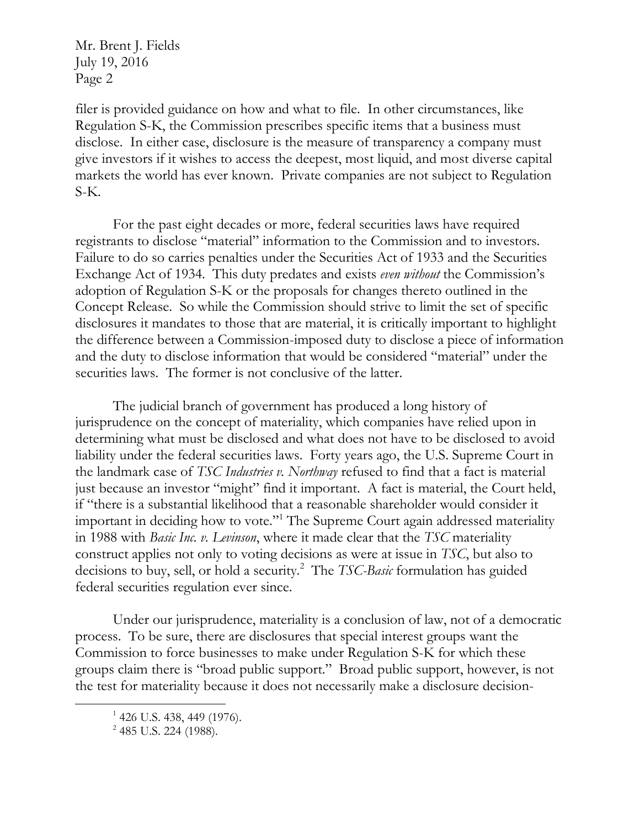filer is provided guidance on how and what to file. In other circumstances, like Regulation S-K, the Commission prescribes specific items that a business must disclose. In either case, disclosure is the measure of transparency a company must give investors if it wishes to access the deepest, most liquid, and most diverse capital markets the world has ever known. Private companies are not subject to Regulation S-K.

For the past eight decades or more, federal securities laws have required registrants to disclose "material" information to the Commission and to investors. Failure to do so carries penalties under the Securities Act of 1933 and the Securities Exchange Act of 1934. This duty predates and exists *even without* the Commission's adoption of Regulation S-K or the proposals for changes thereto outlined in the Concept Release. So while the Commission should strive to limit the set of specific disclosures it mandates to those that are material, it is critically important to highlight the difference between a Commission-imposed duty to disclose a piece of information and the duty to disclose information that would be considered "material" under the securities laws. The former is not conclusive of the latter.

The judicial branch of government has produced a long history of jurisprudence on the concept of materiality, which companies have relied upon in determining what must be disclosed and what does not have to be disclosed to avoid liability under the federal securities laws. Forty years ago, the U.S. Supreme Court in the landmark case of *TSC Industries v. Northway* refused to find that a fact is material just because an investor "might" find it important. A fact is material, the Court held, if "there is a substantial likelihood that a reasonable shareholder would consider it important in deciding how to vote."<sup>1</sup> The Supreme Court again addressed materiality in 1988 with *Basic Inc. v. Levinson*, where it made clear that the *TSC* materiality construct applies not only to voting decisions as were at issue in *TSC*, but also to decisions to buy, sell, or hold a security.<sup>2</sup> The *TSC-Basic* formulation has guided federal securities regulation ever since.

Under our jurisprudence, materiality is a conclusion of law, not of a democratic process. To be sure, there are disclosures that special interest groups want the Commission to force businesses to make under Regulation S-K for which these groups claim there is "broad public support." Broad public support, however, is not the test for materiality because it does not necessarily make a disclosure decision-

 $\overline{a}$ 

<sup>&</sup>lt;sup>1</sup> 426 U.S. 438, 449 (1976).

<sup>&</sup>lt;sup>2</sup> 485 U.S. 224 (1988).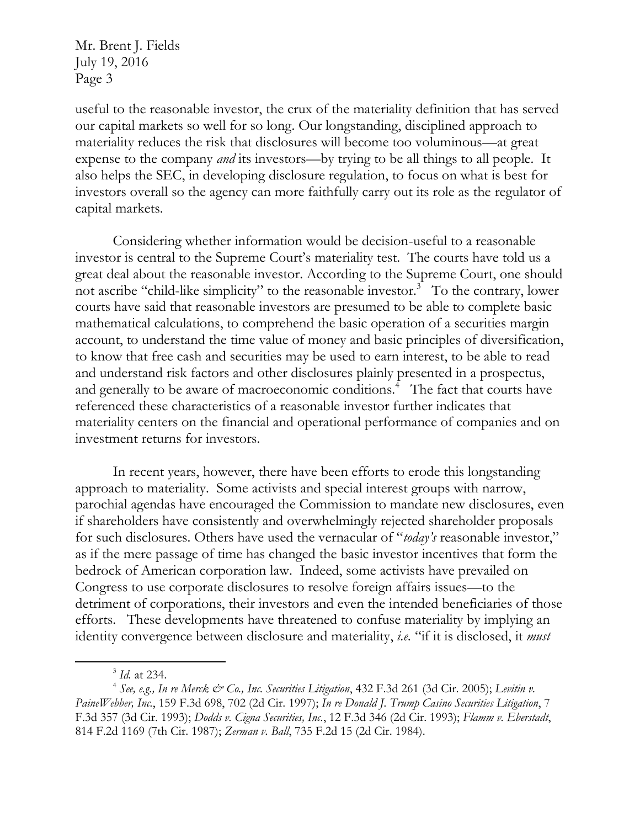useful to the reasonable investor, the crux of the materiality definition that has served our capital markets so well for so long. Our longstanding, disciplined approach to materiality reduces the risk that disclosures will become too voluminous—at great expense to the company *and* its investors—by trying to be all things to all people. It also helps the SEC, in developing disclosure regulation, to focus on what is best for investors overall so the agency can more faithfully carry out its role as the regulator of capital markets.

Considering whether information would be decision-useful to a reasonable investor is central to the Supreme Court's materiality test. The courts have told us a great deal about the reasonable investor. According to the Supreme Court, one should not ascribe "child-like simplicity" to the reasonable investor.<sup>3</sup> To the contrary, lower courts have said that reasonable investors are presumed to be able to complete basic mathematical calculations, to comprehend the basic operation of a securities margin account, to understand the time value of money and basic principles of diversification, to know that free cash and securities may be used to earn interest, to be able to read and understand risk factors and other disclosures plainly presented in a prospectus, and generally to be aware of macroeconomic conditions.<sup>4</sup> The fact that courts have referenced these characteristics of a reasonable investor further indicates that materiality centers on the financial and operational performance of companies and on investment returns for investors.

In recent years, however, there have been efforts to erode this longstanding approach to materiality. Some activists and special interest groups with narrow, parochial agendas have encouraged the Commission to mandate new disclosures, even if shareholders have consistently and overwhelmingly rejected shareholder proposals for such disclosures. Others have used the vernacular of "*today's* reasonable investor," as if the mere passage of time has changed the basic investor incentives that form the bedrock of American corporation law. Indeed, some activists have prevailed on Congress to use corporate disclosures to resolve foreign affairs issues—to the detriment of corporations, their investors and even the intended beneficiaries of those efforts. These developments have threatened to confuse materiality by implying an identity convergence between disclosure and materiality, *i.e.* "if it is disclosed, it *must*

 $\overline{a}$ 

<sup>3</sup> *Id.* at 234.

<sup>&</sup>lt;sup>4</sup> See, e.g., In re Merck & Co., Inc. Securities Litigation, 432 F.3d 261 (3d Cir. 2005); Levitin v. *PaineWebber, Inc.*, 159 F.3d 698, 702 (2d Cir. 1997); *In re Donald J. Trump Casino Securities Litigation*, 7 F.3d 357 (3d Cir. 1993); *Dodds v. Cigna Securities, Inc.*, 12 F.3d 346 (2d Cir. 1993); *Flamm v. Eberstadt*, 814 F.2d 1169 (7th Cir. 1987); *Zerman v. Ball*, 735 F.2d 15 (2d Cir. 1984).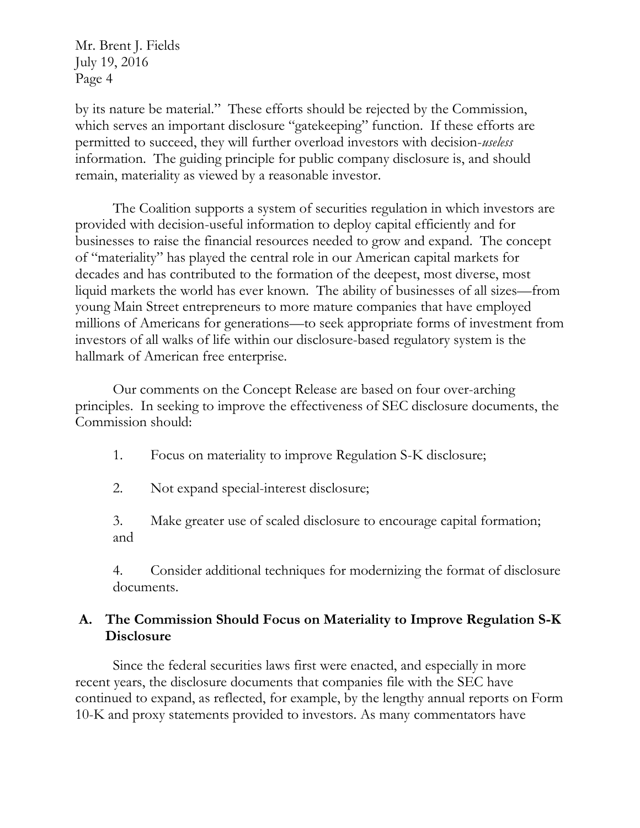by its nature be material." These efforts should be rejected by the Commission, which serves an important disclosure "gatekeeping" function. If these efforts are permitted to succeed, they will further overload investors with decision-*useless* information. The guiding principle for public company disclosure is, and should remain, materiality as viewed by a reasonable investor.

The Coalition supports a system of securities regulation in which investors are provided with decision-useful information to deploy capital efficiently and for businesses to raise the financial resources needed to grow and expand. The concept of "materiality" has played the central role in our American capital markets for decades and has contributed to the formation of the deepest, most diverse, most liquid markets the world has ever known. The ability of businesses of all sizes—from young Main Street entrepreneurs to more mature companies that have employed millions of Americans for generations—to seek appropriate forms of investment from investors of all walks of life within our disclosure-based regulatory system is the hallmark of American free enterprise.

Our comments on the Concept Release are based on four over-arching principles. In seeking to improve the effectiveness of SEC disclosure documents, the Commission should:

1. Focus on materiality to improve Regulation S-K disclosure;

2. Not expand special-interest disclosure;

3. Make greater use of scaled disclosure to encourage capital formation; and

4. Consider additional techniques for modernizing the format of disclosure documents.

### **A. The Commission Should Focus on Materiality to Improve Regulation S-K Disclosure**

Since the federal securities laws first were enacted, and especially in more recent years, the disclosure documents that companies file with the SEC have continued to expand, as reflected, for example, by the lengthy annual reports on Form 10-K and proxy statements provided to investors. As many commentators have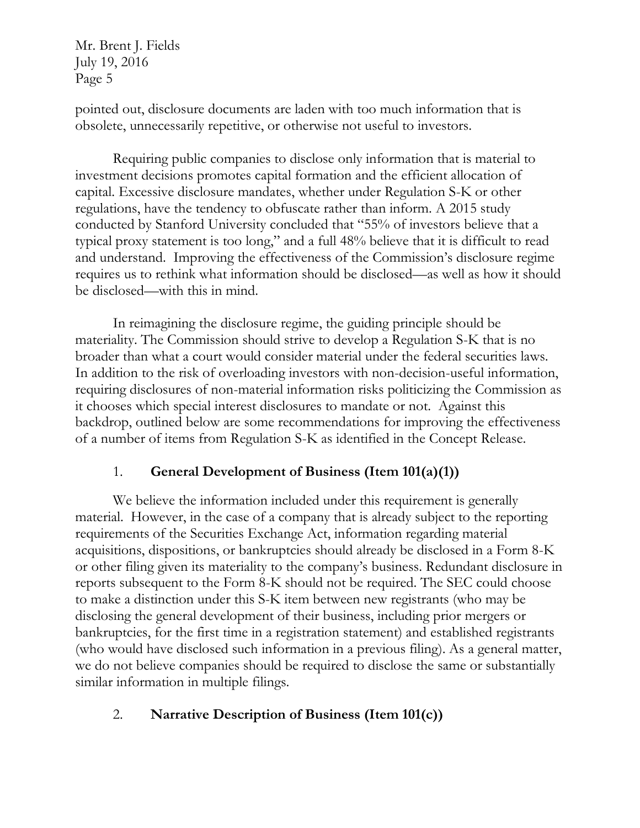pointed out, disclosure documents are laden with too much information that is obsolete, unnecessarily repetitive, or otherwise not useful to investors.

Requiring public companies to disclose only information that is material to investment decisions promotes capital formation and the efficient allocation of capital. Excessive disclosure mandates, whether under Regulation S-K or other regulations, have the tendency to obfuscate rather than inform. A 2015 study conducted by Stanford University concluded that "55% of investors believe that a typical proxy statement is too long," and a full 48% believe that it is difficult to read and understand. Improving the effectiveness of the Commission's disclosure regime requires us to rethink what information should be disclosed—as well as how it should be disclosed—with this in mind.

In reimagining the disclosure regime, the guiding principle should be materiality. The Commission should strive to develop a Regulation S-K that is no broader than what a court would consider material under the federal securities laws. In addition to the risk of overloading investors with non-decision-useful information, requiring disclosures of non-material information risks politicizing the Commission as it chooses which special interest disclosures to mandate or not. Against this backdrop, outlined below are some recommendations for improving the effectiveness of a number of items from Regulation S-K as identified in the Concept Release.

### 1. **General Development of Business (Item 101(a)(1))**

We believe the information included under this requirement is generally material. However, in the case of a company that is already subject to the reporting requirements of the Securities Exchange Act, information regarding material acquisitions, dispositions, or bankruptcies should already be disclosed in a Form 8-K or other filing given its materiality to the company's business. Redundant disclosure in reports subsequent to the Form 8-K should not be required. The SEC could choose to make a distinction under this S-K item between new registrants (who may be disclosing the general development of their business, including prior mergers or bankruptcies, for the first time in a registration statement) and established registrants (who would have disclosed such information in a previous filing). As a general matter, we do not believe companies should be required to disclose the same or substantially similar information in multiple filings.

### 2. **Narrative Description of Business (Item 101(c))**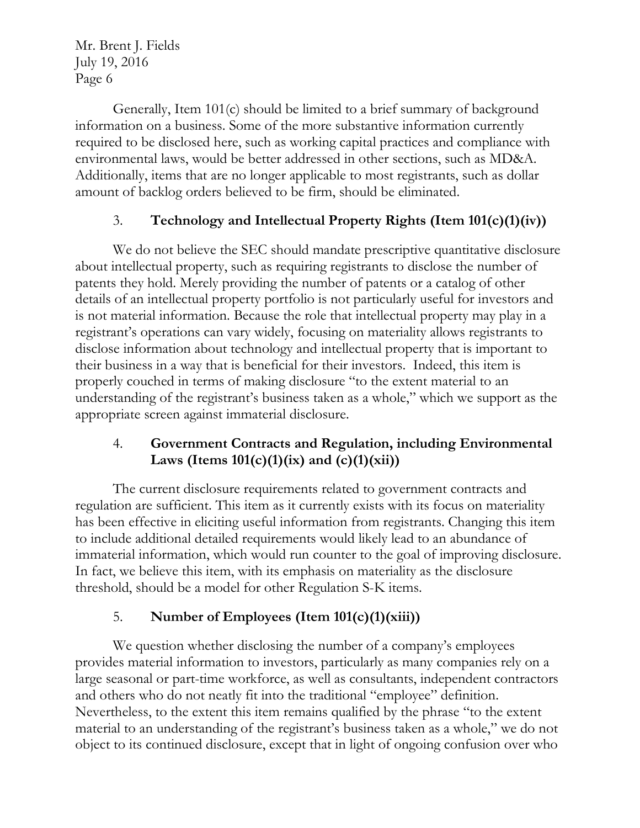Generally, Item 101(c) should be limited to a brief summary of background information on a business. Some of the more substantive information currently required to be disclosed here, such as working capital practices and compliance with environmental laws, would be better addressed in other sections, such as MD&A. Additionally, items that are no longer applicable to most registrants, such as dollar amount of backlog orders believed to be firm, should be eliminated.

## 3. **Technology and Intellectual Property Rights (Item 101(c)(1)(iv))**

We do not believe the SEC should mandate prescriptive quantitative disclosure about intellectual property, such as requiring registrants to disclose the number of patents they hold. Merely providing the number of patents or a catalog of other details of an intellectual property portfolio is not particularly useful for investors and is not material information. Because the role that intellectual property may play in a registrant's operations can vary widely, focusing on materiality allows registrants to disclose information about technology and intellectual property that is important to their business in a way that is beneficial for their investors. Indeed, this item is properly couched in terms of making disclosure "to the extent material to an understanding of the registrant's business taken as a whole," which we support as the appropriate screen against immaterial disclosure.

## 4. **Government Contracts and Regulation, including Environmental**  Laws (Items  $101(c)(1)(ix)$  and  $(c)(1)(xii)$ )

The current disclosure requirements related to government contracts and regulation are sufficient. This item as it currently exists with its focus on materiality has been effective in eliciting useful information from registrants. Changing this item to include additional detailed requirements would likely lead to an abundance of immaterial information, which would run counter to the goal of improving disclosure. In fact, we believe this item, with its emphasis on materiality as the disclosure threshold, should be a model for other Regulation S-K items.

# 5. **Number of Employees (Item 101(c)(1)(xiii))**

We question whether disclosing the number of a company's employees provides material information to investors, particularly as many companies rely on a large seasonal or part-time workforce, as well as consultants, independent contractors and others who do not neatly fit into the traditional "employee" definition. Nevertheless, to the extent this item remains qualified by the phrase "to the extent material to an understanding of the registrant's business taken as a whole," we do not object to its continued disclosure, except that in light of ongoing confusion over who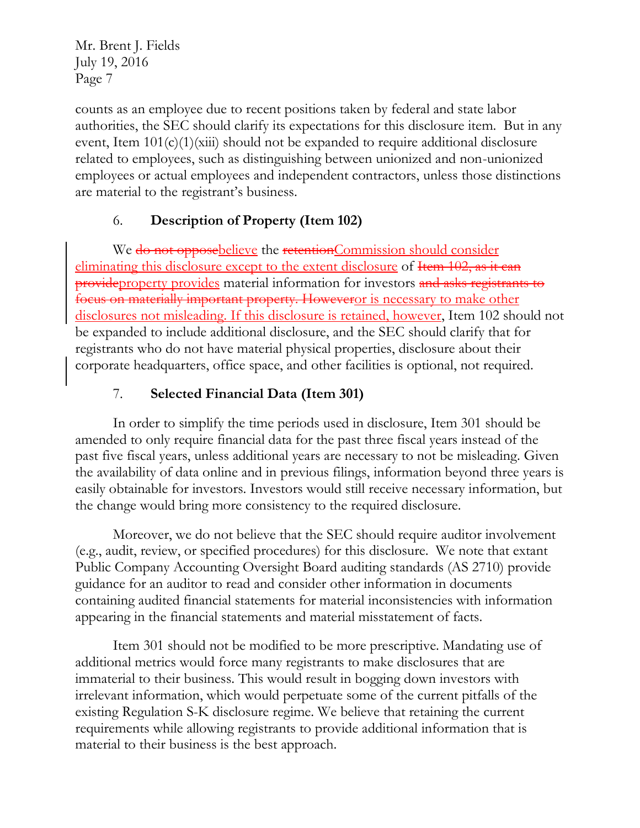counts as an employee due to recent positions taken by federal and state labor authorities, the SEC should clarify its expectations for this disclosure item. But in any event, Item  $101(c)(1)(xiii)$  should not be expanded to require additional disclosure related to employees, such as distinguishing between unionized and non-unionized employees or actual employees and independent contractors, unless those distinctions are material to the registrant's business.

# 6. **Description of Property (Item 102)**

We do not opposebelieve the retentionCommission should consider eliminating this disclosure except to the extent disclosure of Hem 102, as it can provideproperty provides material information for investors and asks registrants to focus on materially important property. Howeveror is necessary to make other disclosures not misleading. If this disclosure is retained, however, Item 102 should not be expanded to include additional disclosure, and the SEC should clarify that for registrants who do not have material physical properties, disclosure about their corporate headquarters, office space, and other facilities is optional, not required.

# 7. **Selected Financial Data (Item 301)**

In order to simplify the time periods used in disclosure, Item 301 should be amended to only require financial data for the past three fiscal years instead of the past five fiscal years, unless additional years are necessary to not be misleading. Given the availability of data online and in previous filings, information beyond three years is easily obtainable for investors. Investors would still receive necessary information, but the change would bring more consistency to the required disclosure.

Moreover, we do not believe that the SEC should require auditor involvement (e.g., audit, review, or specified procedures) for this disclosure. We note that extant Public Company Accounting Oversight Board auditing standards (AS 2710) provide guidance for an auditor to read and consider other information in documents containing audited financial statements for material inconsistencies with information appearing in the financial statements and material misstatement of facts.

Item 301 should not be modified to be more prescriptive. Mandating use of additional metrics would force many registrants to make disclosures that are immaterial to their business. This would result in bogging down investors with irrelevant information, which would perpetuate some of the current pitfalls of the existing Regulation S-K disclosure regime. We believe that retaining the current requirements while allowing registrants to provide additional information that is material to their business is the best approach.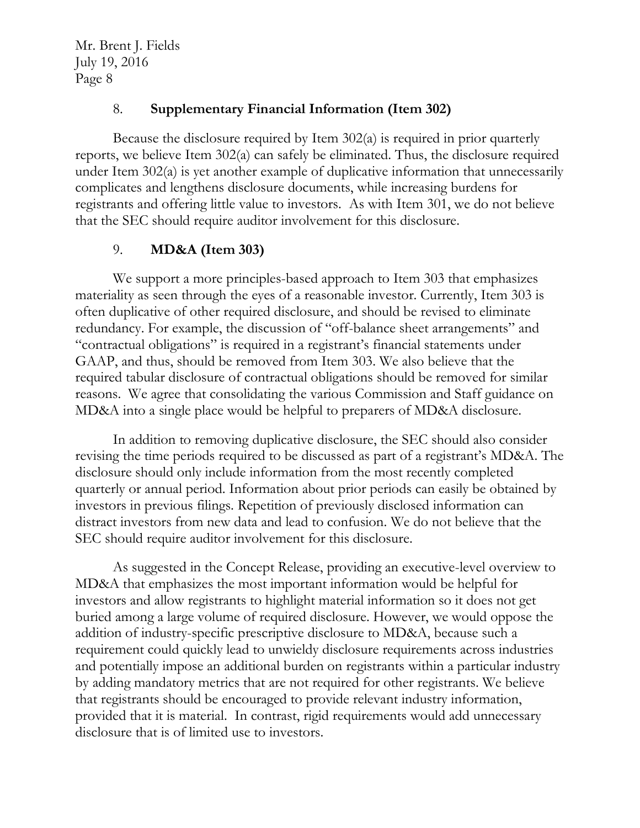#### 8. **Supplementary Financial Information (Item 302)**

Because the disclosure required by Item 302(a) is required in prior quarterly reports, we believe Item 302(a) can safely be eliminated. Thus, the disclosure required under Item 302(a) is yet another example of duplicative information that unnecessarily complicates and lengthens disclosure documents, while increasing burdens for registrants and offering little value to investors. As with Item 301, we do not believe that the SEC should require auditor involvement for this disclosure.

### 9. **MD&A (Item 303)**

We support a more principles-based approach to Item 303 that emphasizes materiality as seen through the eyes of a reasonable investor. Currently, Item 303 is often duplicative of other required disclosure, and should be revised to eliminate redundancy. For example, the discussion of "off-balance sheet arrangements" and "contractual obligations" is required in a registrant's financial statements under GAAP, and thus, should be removed from Item 303. We also believe that the required tabular disclosure of contractual obligations should be removed for similar reasons. We agree that consolidating the various Commission and Staff guidance on MD&A into a single place would be helpful to preparers of MD&A disclosure.

In addition to removing duplicative disclosure, the SEC should also consider revising the time periods required to be discussed as part of a registrant's MD&A. The disclosure should only include information from the most recently completed quarterly or annual period. Information about prior periods can easily be obtained by investors in previous filings. Repetition of previously disclosed information can distract investors from new data and lead to confusion. We do not believe that the SEC should require auditor involvement for this disclosure.

As suggested in the Concept Release, providing an executive-level overview to MD&A that emphasizes the most important information would be helpful for investors and allow registrants to highlight material information so it does not get buried among a large volume of required disclosure. However, we would oppose the addition of industry-specific prescriptive disclosure to MD&A, because such a requirement could quickly lead to unwieldy disclosure requirements across industries and potentially impose an additional burden on registrants within a particular industry by adding mandatory metrics that are not required for other registrants. We believe that registrants should be encouraged to provide relevant industry information, provided that it is material. In contrast, rigid requirements would add unnecessary disclosure that is of limited use to investors.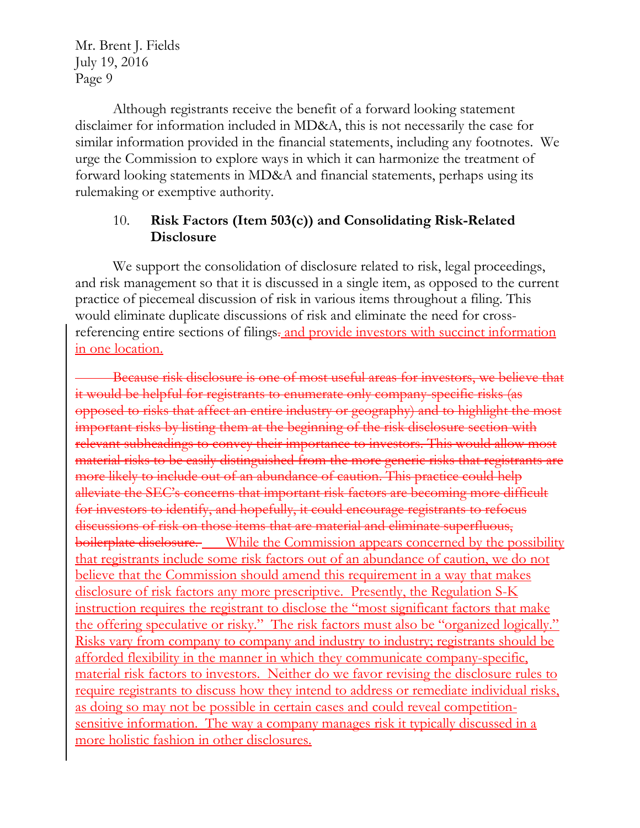Although registrants receive the benefit of a forward looking statement disclaimer for information included in MD&A, this is not necessarily the case for similar information provided in the financial statements, including any footnotes. We urge the Commission to explore ways in which it can harmonize the treatment of forward looking statements in MD&A and financial statements, perhaps using its rulemaking or exemptive authority.

#### 10. **Risk Factors (Item 503(c)) and Consolidating Risk-Related Disclosure**

We support the consolidation of disclosure related to risk, legal proceedings, and risk management so that it is discussed in a single item, as opposed to the current practice of piecemeal discussion of risk in various items throughout a filing. This would eliminate duplicate discussions of risk and eliminate the need for crossreferencing entire sections of filings- and provide investors with succinct information in one location.

Because risk disclosure is one of most useful areas for investors, we believe that it would be helpful for registrants to enumerate only company-specific risks (as opposed to risks that affect an entire industry or geography) and to highlight the most important risks by listing them at the beginning of the risk disclosure section with relevant subheadings to convey their importance to investors. This would allow most material risks to be easily distinguished from the more generic risks that registrants are more likely to include out of an abundance of caution. This practice could help alleviate the SEC's concerns that important risk factors are becoming more difficult for investors to identify, and hopefully, it could encourage registrants to refocus discussions of risk on those items that are material and eliminate superfluous, boilerplate disclosure. While the Commission appears concerned by the possibility that registrants include some risk factors out of an abundance of caution, we do not believe that the Commission should amend this requirement in a way that makes disclosure of risk factors any more prescriptive. Presently, the Regulation S-K instruction requires the registrant to disclose the "most significant factors that make the offering speculative or risky." The risk factors must also be "organized logically." Risks vary from company to company and industry to industry; registrants should be afforded flexibility in the manner in which they communicate company-specific, material risk factors to investors. Neither do we favor revising the disclosure rules to require registrants to discuss how they intend to address or remediate individual risks, as doing so may not be possible in certain cases and could reveal competitionsensitive information. The way a company manages risk it typically discussed in a more holistic fashion in other disclosures.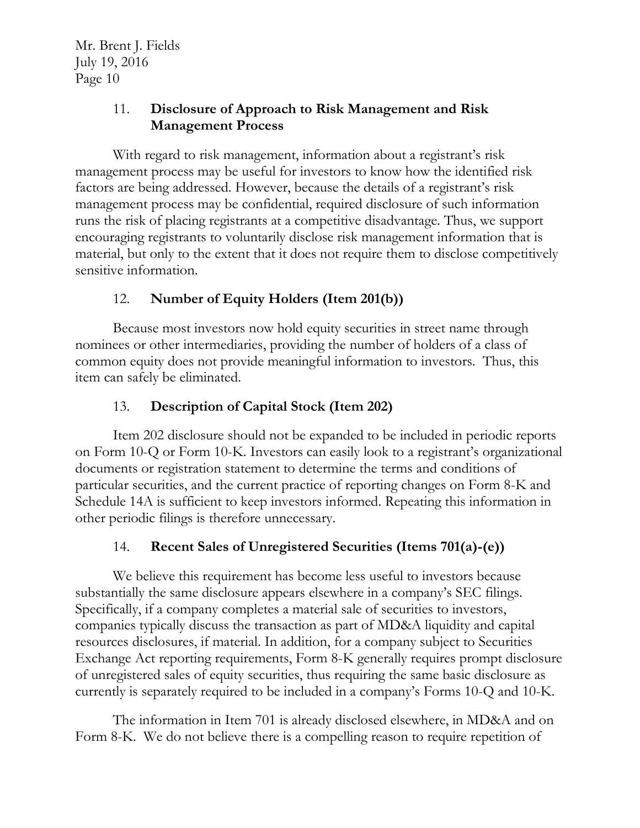### 11. **Disclosure of Approach to Risk Management and Risk Management Process**

With regard to risk management, information about a registrant's risk management process may be useful for investors to know how the identified risk factors are being addressed. However, because the details of a registrant's risk management process may be confidential, required disclosure of such information runs the risk of placing registrants at a competitive disadvantage. Thus, we support encouraging registrants to voluntarily disclose risk management information that is material, but only to the extent that it does not require them to disclose competitively sensitive information.

# 12. **Number of Equity Holders (Item 201(b))**

Because most investors now hold equity securities in street name through nominees or other intermediaries, providing the number of holders of a class of common equity does not provide meaningful information to investors. Thus, this item can safely be eliminated.

## 13. **Description of Capital Stock (Item 202)**

Item 202 disclosure should not be expanded to be included in periodic reports on Form 10-Q or Form 10-K. Investors can easily look to a registrant's organizational documents or registration statement to determine the terms and conditions of particular securities, and the current practice of reporting changes on Form 8-K and Schedule 14A is sufficient to keep investors informed. Repeating this information in other periodic filings is therefore unnecessary.

### 14. **Recent Sales of Unregistered Securities (Items 701(a)-(e))**

We believe this requirement has become less useful to investors because substantially the same disclosure appears elsewhere in a company's SEC filings. Specifically, if a company completes a material sale of securities to investors, companies typically discuss the transaction as part of MD&A liquidity and capital resources disclosures, if material. In addition, for a company subject to Securities Exchange Act reporting requirements, Form 8-K generally requires prompt disclosure of unregistered sales of equity securities, thus requiring the same basic disclosure as currently is separately required to be included in a company's Forms 10-Q and 10-K.

The information in Item 701 is already disclosed elsewhere, in MD&A and on Form 8-K. We do not believe there is a compelling reason to require repetition of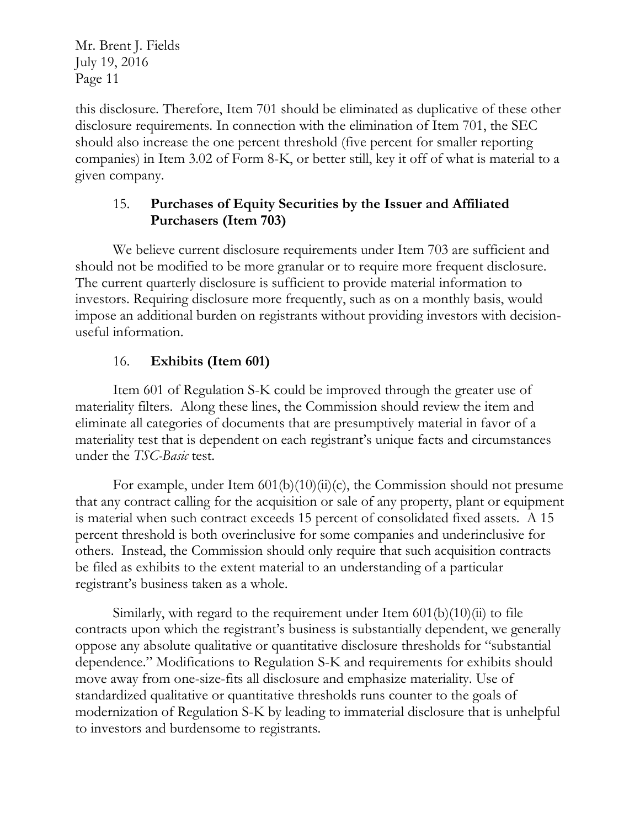this disclosure. Therefore, Item 701 should be eliminated as duplicative of these other disclosure requirements. In connection with the elimination of Item 701, the SEC should also increase the one percent threshold (five percent for smaller reporting companies) in Item 3.02 of Form 8-K, or better still, key it off of what is material to a given company.

### 15. **Purchases of Equity Securities by the Issuer and Affiliated Purchasers (Item 703)**

We believe current disclosure requirements under Item 703 are sufficient and should not be modified to be more granular or to require more frequent disclosure. The current quarterly disclosure is sufficient to provide material information to investors. Requiring disclosure more frequently, such as on a monthly basis, would impose an additional burden on registrants without providing investors with decisionuseful information.

# 16. **Exhibits (Item 601)**

Item 601 of Regulation S-K could be improved through the greater use of materiality filters. Along these lines, the Commission should review the item and eliminate all categories of documents that are presumptively material in favor of a materiality test that is dependent on each registrant's unique facts and circumstances under the *TSC-Basic* test.

For example, under Item  $601(b)(10)(ii)(c)$ , the Commission should not presume that any contract calling for the acquisition or sale of any property, plant or equipment is material when such contract exceeds 15 percent of consolidated fixed assets. A 15 percent threshold is both overinclusive for some companies and underinclusive for others. Instead, the Commission should only require that such acquisition contracts be filed as exhibits to the extent material to an understanding of a particular registrant's business taken as a whole.

Similarly, with regard to the requirement under Item  $601(b)(10)(ii)$  to file contracts upon which the registrant's business is substantially dependent, we generally oppose any absolute qualitative or quantitative disclosure thresholds for "substantial dependence." Modifications to Regulation S-K and requirements for exhibits should move away from one-size-fits all disclosure and emphasize materiality. Use of standardized qualitative or quantitative thresholds runs counter to the goals of modernization of Regulation S-K by leading to immaterial disclosure that is unhelpful to investors and burdensome to registrants.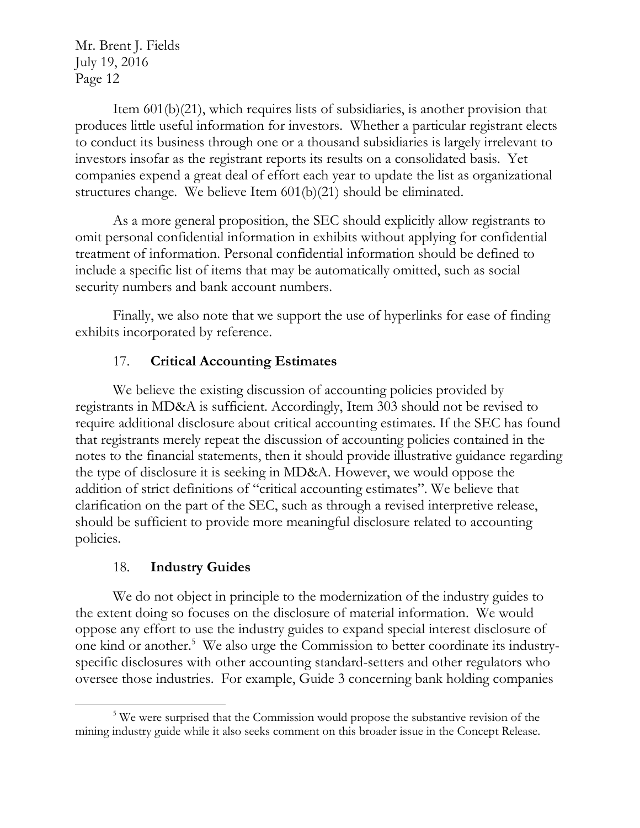Item 601(b)(21), which requires lists of subsidiaries, is another provision that produces little useful information for investors. Whether a particular registrant elects to conduct its business through one or a thousand subsidiaries is largely irrelevant to investors insofar as the registrant reports its results on a consolidated basis. Yet companies expend a great deal of effort each year to update the list as organizational structures change. We believe Item 601(b)(21) should be eliminated.

As a more general proposition, the SEC should explicitly allow registrants to omit personal confidential information in exhibits without applying for confidential treatment of information. Personal confidential information should be defined to include a specific list of items that may be automatically omitted, such as social security numbers and bank account numbers.

Finally, we also note that we support the use of hyperlinks for ease of finding exhibits incorporated by reference.

# 17. **Critical Accounting Estimates**

We believe the existing discussion of accounting policies provided by registrants in MD&A is sufficient. Accordingly, Item 303 should not be revised to require additional disclosure about critical accounting estimates. If the SEC has found that registrants merely repeat the discussion of accounting policies contained in the notes to the financial statements, then it should provide illustrative guidance regarding the type of disclosure it is seeking in MD&A. However, we would oppose the addition of strict definitions of "critical accounting estimates". We believe that clarification on the part of the SEC, such as through a revised interpretive release, should be sufficient to provide more meaningful disclosure related to accounting policies.

### 18. **Industry Guides**

We do not object in principle to the modernization of the industry guides to the extent doing so focuses on the disclosure of material information. We would oppose any effort to use the industry guides to expand special interest disclosure of one kind or another.<sup>5</sup> We also urge the Commission to better coordinate its industryspecific disclosures with other accounting standard-setters and other regulators who oversee those industries. For example, Guide 3 concerning bank holding companies

 $\overline{a}$ <sup>5</sup> We were surprised that the Commission would propose the substantive revision of the mining industry guide while it also seeks comment on this broader issue in the Concept Release.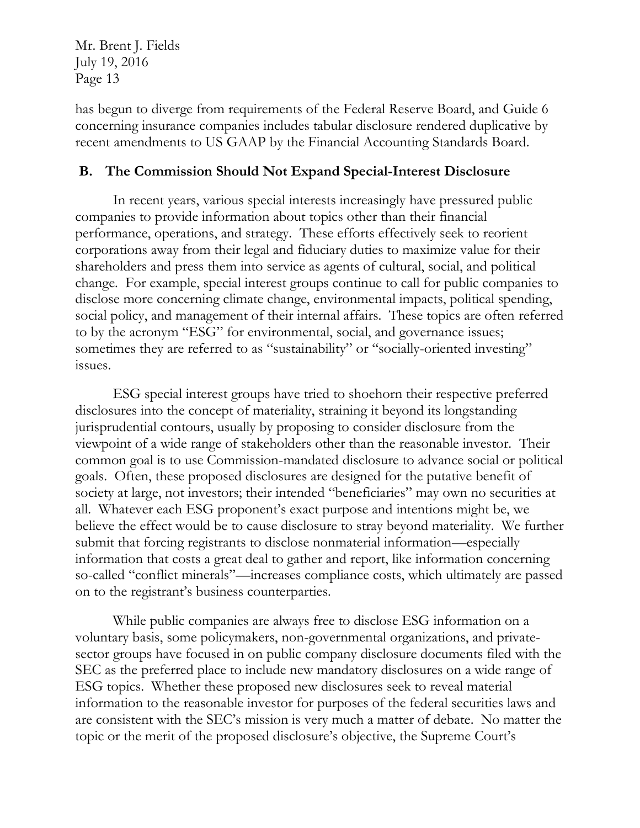has begun to diverge from requirements of the Federal Reserve Board, and Guide 6 concerning insurance companies includes tabular disclosure rendered duplicative by recent amendments to US GAAP by the Financial Accounting Standards Board.

#### **B. The Commission Should Not Expand Special-Interest Disclosure**

In recent years, various special interests increasingly have pressured public companies to provide information about topics other than their financial performance, operations, and strategy. These efforts effectively seek to reorient corporations away from their legal and fiduciary duties to maximize value for their shareholders and press them into service as agents of cultural, social, and political change. For example, special interest groups continue to call for public companies to disclose more concerning climate change, environmental impacts, political spending, social policy, and management of their internal affairs. These topics are often referred to by the acronym "ESG" for environmental, social, and governance issues; sometimes they are referred to as "sustainability" or "socially-oriented investing" issues.

ESG special interest groups have tried to shoehorn their respective preferred disclosures into the concept of materiality, straining it beyond its longstanding jurisprudential contours, usually by proposing to consider disclosure from the viewpoint of a wide range of stakeholders other than the reasonable investor. Their common goal is to use Commission-mandated disclosure to advance social or political goals. Often, these proposed disclosures are designed for the putative benefit of society at large, not investors; their intended "beneficiaries" may own no securities at all. Whatever each ESG proponent's exact purpose and intentions might be, we believe the effect would be to cause disclosure to stray beyond materiality. We further submit that forcing registrants to disclose nonmaterial information—especially information that costs a great deal to gather and report, like information concerning so-called "conflict minerals"—increases compliance costs, which ultimately are passed on to the registrant's business counterparties.

While public companies are always free to disclose ESG information on a voluntary basis, some policymakers, non-governmental organizations, and privatesector groups have focused in on public company disclosure documents filed with the SEC as the preferred place to include new mandatory disclosures on a wide range of ESG topics. Whether these proposed new disclosures seek to reveal material information to the reasonable investor for purposes of the federal securities laws and are consistent with the SEC's mission is very much a matter of debate. No matter the topic or the merit of the proposed disclosure's objective, the Supreme Court's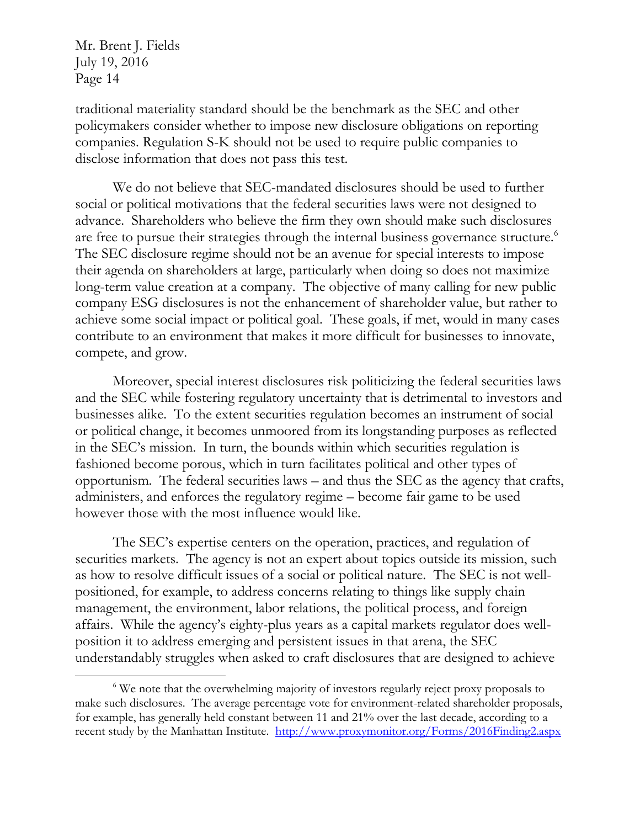$\overline{a}$ 

traditional materiality standard should be the benchmark as the SEC and other policymakers consider whether to impose new disclosure obligations on reporting companies. Regulation S-K should not be used to require public companies to disclose information that does not pass this test.

We do not believe that SEC-mandated disclosures should be used to further social or political motivations that the federal securities laws were not designed to advance. Shareholders who believe the firm they own should make such disclosures are free to pursue their strategies through the internal business governance structure.<sup>6</sup> The SEC disclosure regime should not be an avenue for special interests to impose their agenda on shareholders at large, particularly when doing so does not maximize long-term value creation at a company. The objective of many calling for new public company ESG disclosures is not the enhancement of shareholder value, but rather to achieve some social impact or political goal. These goals, if met, would in many cases contribute to an environment that makes it more difficult for businesses to innovate, compete, and grow.

Moreover, special interest disclosures risk politicizing the federal securities laws and the SEC while fostering regulatory uncertainty that is detrimental to investors and businesses alike. To the extent securities regulation becomes an instrument of social or political change, it becomes unmoored from its longstanding purposes as reflected in the SEC's mission. In turn, the bounds within which securities regulation is fashioned become porous, which in turn facilitates political and other types of opportunism. The federal securities laws – and thus the SEC as the agency that crafts, administers, and enforces the regulatory regime – become fair game to be used however those with the most influence would like.

The SEC's expertise centers on the operation, practices, and regulation of securities markets. The agency is not an expert about topics outside its mission, such as how to resolve difficult issues of a social or political nature. The SEC is not wellpositioned, for example, to address concerns relating to things like supply chain management, the environment, labor relations, the political process, and foreign affairs. While the agency's eighty-plus years as a capital markets regulator does wellposition it to address emerging and persistent issues in that arena, the SEC understandably struggles when asked to craft disclosures that are designed to achieve

<sup>&</sup>lt;sup>6</sup> We note that the overwhelming majority of investors regularly reject proxy proposals to make such disclosures. The average percentage vote for environment-related shareholder proposals, for example, has generally held constant between 11 and 21% over the last decade, according to a recent study by the Manhattan Institute. <http://www.proxymonitor.org/Forms/2016Finding2.aspx>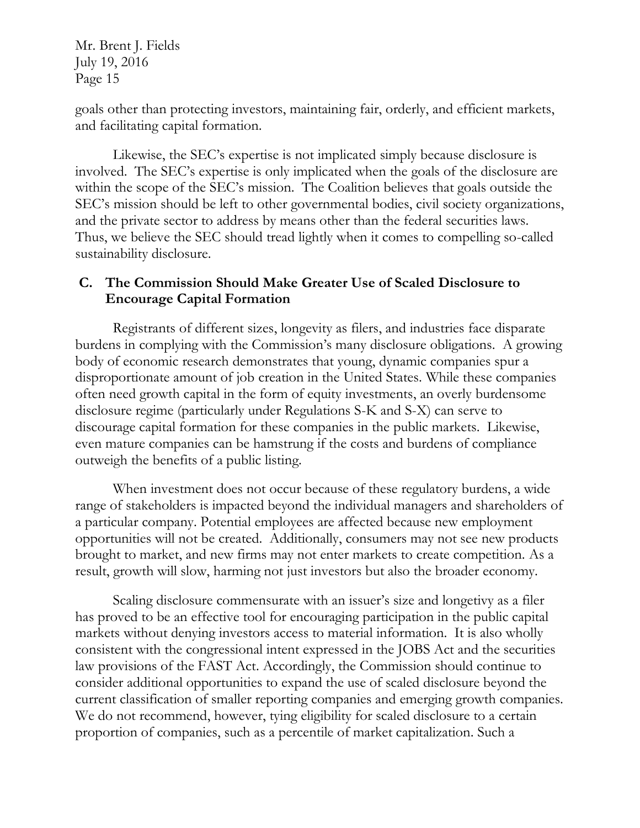goals other than protecting investors, maintaining fair, orderly, and efficient markets, and facilitating capital formation.

Likewise, the SEC's expertise is not implicated simply because disclosure is involved. The SEC's expertise is only implicated when the goals of the disclosure are within the scope of the SEC's mission. The Coalition believes that goals outside the SEC's mission should be left to other governmental bodies, civil society organizations, and the private sector to address by means other than the federal securities laws. Thus, we believe the SEC should tread lightly when it comes to compelling so-called sustainability disclosure.

#### **C. The Commission Should Make Greater Use of Scaled Disclosure to Encourage Capital Formation**

Registrants of different sizes, longevity as filers, and industries face disparate burdens in complying with the Commission's many disclosure obligations. A growing body of economic research demonstrates that young, dynamic companies spur a disproportionate amount of job creation in the United States. While these companies often need growth capital in the form of equity investments, an overly burdensome disclosure regime (particularly under Regulations S-K and S-X) can serve to discourage capital formation for these companies in the public markets. Likewise, even mature companies can be hamstrung if the costs and burdens of compliance outweigh the benefits of a public listing.

When investment does not occur because of these regulatory burdens, a wide range of stakeholders is impacted beyond the individual managers and shareholders of a particular company. Potential employees are affected because new employment opportunities will not be created. Additionally, consumers may not see new products brought to market, and new firms may not enter markets to create competition. As a result, growth will slow, harming not just investors but also the broader economy.

Scaling disclosure commensurate with an issuer's size and longetivy as a filer has proved to be an effective tool for encouraging participation in the public capital markets without denying investors access to material information. It is also wholly consistent with the congressional intent expressed in the JOBS Act and the securities law provisions of the FAST Act. Accordingly, the Commission should continue to consider additional opportunities to expand the use of scaled disclosure beyond the current classification of smaller reporting companies and emerging growth companies. We do not recommend, however, tying eligibility for scaled disclosure to a certain proportion of companies, such as a percentile of market capitalization. Such a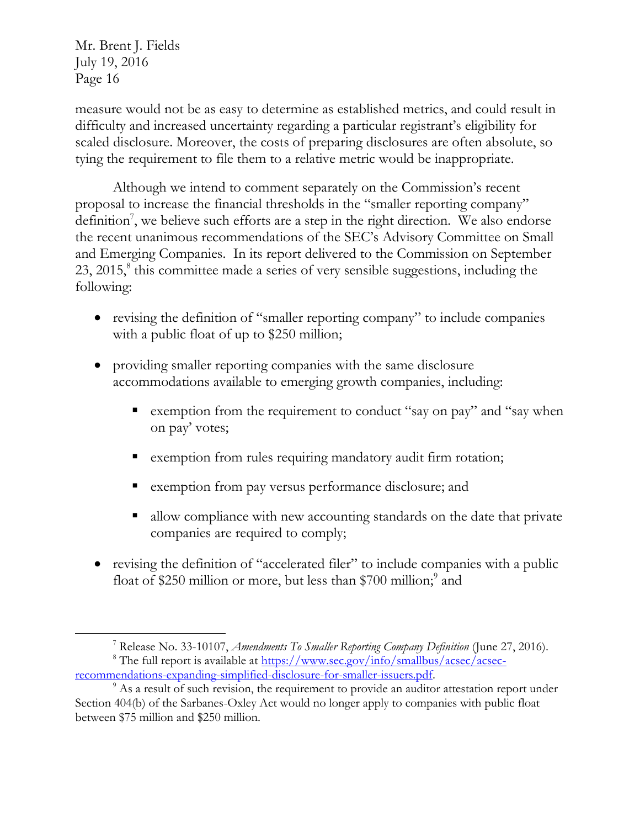$\overline{a}$ 

measure would not be as easy to determine as established metrics, and could result in difficulty and increased uncertainty regarding a particular registrant's eligibility for scaled disclosure. Moreover, the costs of preparing disclosures are often absolute, so tying the requirement to file them to a relative metric would be inappropriate.

Although we intend to comment separately on the Commission's recent proposal to increase the financial thresholds in the "smaller reporting company" definition<sup>7</sup>, we believe such efforts are a step in the right direction. We also endorse the recent unanimous recommendations of the SEC's Advisory Committee on Small and Emerging Companies. In its report delivered to the Commission on September 23, 2015,<sup>8</sup> this committee made a series of very sensible suggestions, including the following:

- revising the definition of "smaller reporting company" to include companies with a public float of up to \$250 million;
- providing smaller reporting companies with the same disclosure accommodations available to emerging growth companies, including:
	- **Exemption from the requirement to conduct "say on pay" and "say when** on pay' votes;
	- exemption from rules requiring mandatory audit firm rotation;
	- exemption from pay versus performance disclosure; and
	- allow compliance with new accounting standards on the date that private companies are required to comply;
- revising the definition of "accelerated filer" to include companies with a public float of \$250 million or more, but less than \$700 million;<sup>9</sup> and

<sup>7</sup> Release No. 33-10107, *Amendments To Smaller Reporting Company Definition* (June 27, 2016).

<sup>&</sup>lt;sup>8</sup> The full report is available at  $\frac{https://www.sec.gov/info/smallbus/asec/asec-}$ [recommendations-expanding-simplified-disclosure-for-smaller-issuers.pdf.](https://www.sec.gov/info/smallbus/acsec/acsec-recommendations-expanding-simplified-disclosure-for-smaller-issuers.pdf)

<sup>&</sup>lt;sup>9</sup> As a result of such revision, the requirement to provide an auditor attestation report under Section 404(b) of the Sarbanes-Oxley Act would no longer apply to companies with public float between \$75 million and \$250 million.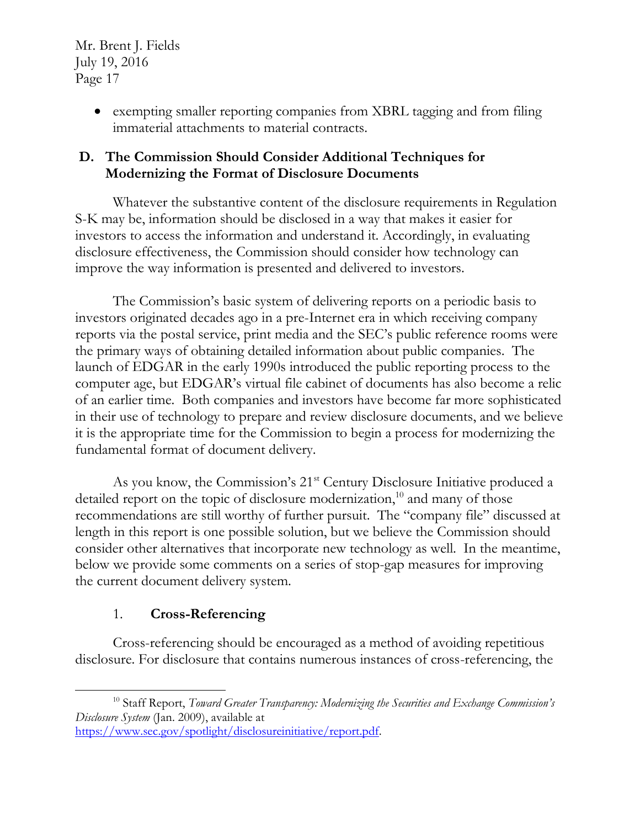> exempting smaller reporting companies from XBRL tagging and from filing immaterial attachments to material contracts.

### **D. The Commission Should Consider Additional Techniques for Modernizing the Format of Disclosure Documents**

Whatever the substantive content of the disclosure requirements in Regulation S-K may be, information should be disclosed in a way that makes it easier for investors to access the information and understand it. Accordingly, in evaluating disclosure effectiveness, the Commission should consider how technology can improve the way information is presented and delivered to investors.

The Commission's basic system of delivering reports on a periodic basis to investors originated decades ago in a pre-Internet era in which receiving company reports via the postal service, print media and the SEC's public reference rooms were the primary ways of obtaining detailed information about public companies. The launch of EDGAR in the early 1990s introduced the public reporting process to the computer age, but EDGAR's virtual file cabinet of documents has also become a relic of an earlier time. Both companies and investors have become far more sophisticated in their use of technology to prepare and review disclosure documents, and we believe it is the appropriate time for the Commission to begin a process for modernizing the fundamental format of document delivery.

As you know, the Commission's 21<sup>st</sup> Century Disclosure Initiative produced a detailed report on the topic of disclosure modernization,<sup>10</sup> and many of those recommendations are still worthy of further pursuit. The "company file" discussed at length in this report is one possible solution, but we believe the Commission should consider other alternatives that incorporate new technology as well. In the meantime, below we provide some comments on a series of stop-gap measures for improving the current document delivery system.

## 1. **Cross-Referencing**

 $\overline{a}$ 

Cross-referencing should be encouraged as a method of avoiding repetitious disclosure. For disclosure that contains numerous instances of cross-referencing, the

<sup>&</sup>lt;sup>10</sup> Staff Report, *Toward Greater Transparency: Modernizing the Securities and Exchange Commission's Disclosure System* (Jan. 2009), available at [https://www.sec.gov/spotlight/disclosureinitiative/report.pdf.](https://www.sec.gov/spotlight/disclosureinitiative/report.pdf)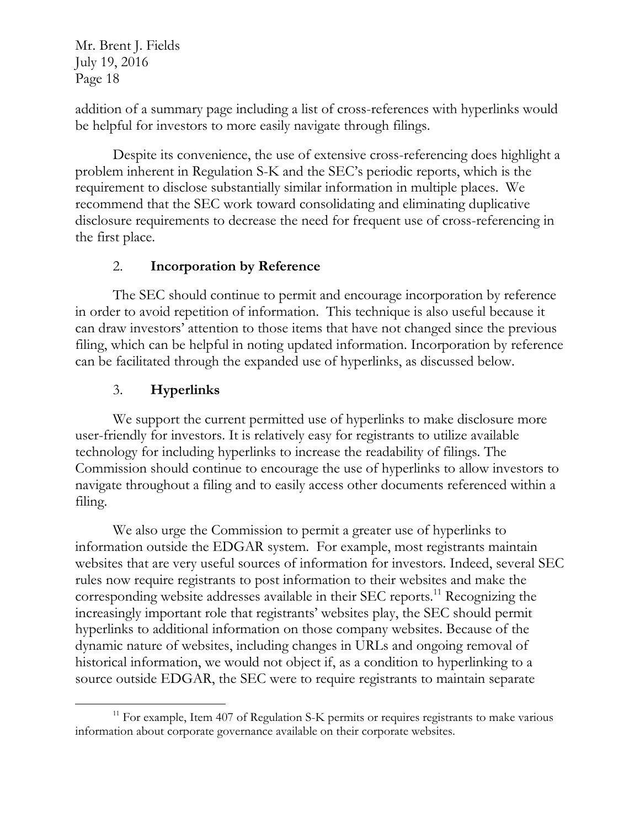addition of a summary page including a list of cross-references with hyperlinks would be helpful for investors to more easily navigate through filings.

Despite its convenience, the use of extensive cross-referencing does highlight a problem inherent in Regulation S-K and the SEC's periodic reports, which is the requirement to disclose substantially similar information in multiple places. We recommend that the SEC work toward consolidating and eliminating duplicative disclosure requirements to decrease the need for frequent use of cross-referencing in the first place.

### 2. **Incorporation by Reference**

The SEC should continue to permit and encourage incorporation by reference in order to avoid repetition of information. This technique is also useful because it can draw investors' attention to those items that have not changed since the previous filing, which can be helpful in noting updated information. Incorporation by reference can be facilitated through the expanded use of hyperlinks, as discussed below.

### 3. **Hyperlinks**

 $\overline{a}$ 

We support the current permitted use of hyperlinks to make disclosure more user-friendly for investors. It is relatively easy for registrants to utilize available technology for including hyperlinks to increase the readability of filings. The Commission should continue to encourage the use of hyperlinks to allow investors to navigate throughout a filing and to easily access other documents referenced within a filing.

We also urge the Commission to permit a greater use of hyperlinks to information outside the EDGAR system. For example, most registrants maintain websites that are very useful sources of information for investors. Indeed, several SEC rules now require registrants to post information to their websites and make the corresponding website addresses available in their SEC reports.<sup>11</sup> Recognizing the increasingly important role that registrants' websites play, the SEC should permit hyperlinks to additional information on those company websites. Because of the dynamic nature of websites, including changes in URLs and ongoing removal of historical information, we would not object if, as a condition to hyperlinking to a source outside EDGAR, the SEC were to require registrants to maintain separate

 $11$  For example, Item 407 of Regulation S-K permits or requires registrants to make various information about corporate governance available on their corporate websites.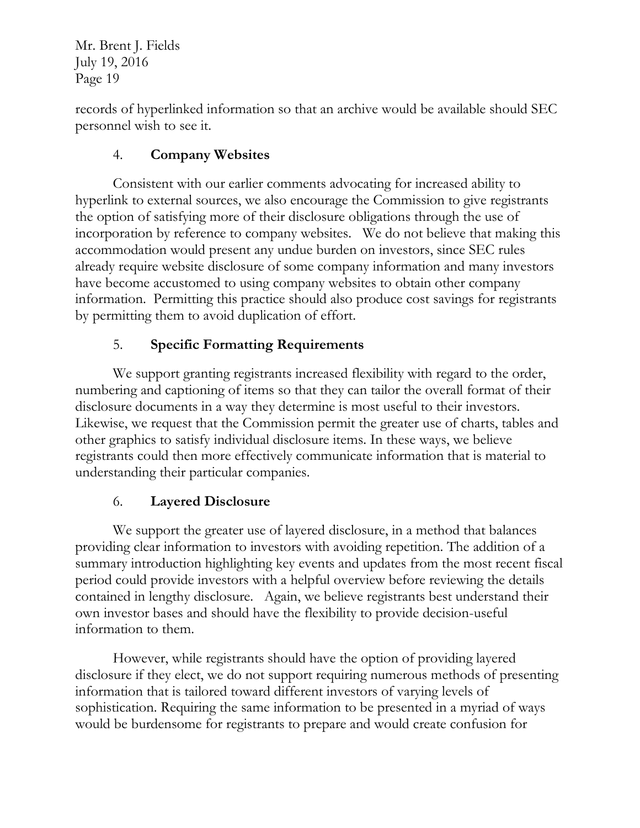records of hyperlinked information so that an archive would be available should SEC personnel wish to see it.

## 4. **Company Websites**

Consistent with our earlier comments advocating for increased ability to hyperlink to external sources, we also encourage the Commission to give registrants the option of satisfying more of their disclosure obligations through the use of incorporation by reference to company websites. We do not believe that making this accommodation would present any undue burden on investors, since SEC rules already require website disclosure of some company information and many investors have become accustomed to using company websites to obtain other company information. Permitting this practice should also produce cost savings for registrants by permitting them to avoid duplication of effort.

### 5. **Specific Formatting Requirements**

We support granting registrants increased flexibility with regard to the order, numbering and captioning of items so that they can tailor the overall format of their disclosure documents in a way they determine is most useful to their investors. Likewise, we request that the Commission permit the greater use of charts, tables and other graphics to satisfy individual disclosure items. In these ways, we believe registrants could then more effectively communicate information that is material to understanding their particular companies.

### 6. **Layered Disclosure**

We support the greater use of layered disclosure, in a method that balances providing clear information to investors with avoiding repetition. The addition of a summary introduction highlighting key events and updates from the most recent fiscal period could provide investors with a helpful overview before reviewing the details contained in lengthy disclosure. Again, we believe registrants best understand their own investor bases and should have the flexibility to provide decision-useful information to them.

However, while registrants should have the option of providing layered disclosure if they elect, we do not support requiring numerous methods of presenting information that is tailored toward different investors of varying levels of sophistication. Requiring the same information to be presented in a myriad of ways would be burdensome for registrants to prepare and would create confusion for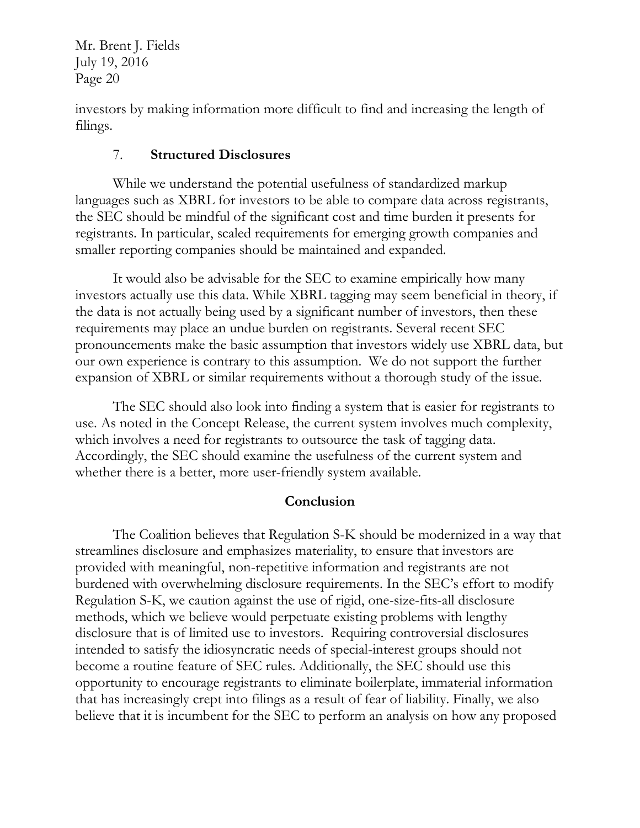investors by making information more difficult to find and increasing the length of filings.

#### 7. **Structured Disclosures**

While we understand the potential usefulness of standardized markup languages such as XBRL for investors to be able to compare data across registrants, the SEC should be mindful of the significant cost and time burden it presents for registrants. In particular, scaled requirements for emerging growth companies and smaller reporting companies should be maintained and expanded.

It would also be advisable for the SEC to examine empirically how many investors actually use this data. While XBRL tagging may seem beneficial in theory, if the data is not actually being used by a significant number of investors, then these requirements may place an undue burden on registrants. Several recent SEC pronouncements make the basic assumption that investors widely use XBRL data, but our own experience is contrary to this assumption. We do not support the further expansion of XBRL or similar requirements without a thorough study of the issue.

The SEC should also look into finding a system that is easier for registrants to use. As noted in the Concept Release, the current system involves much complexity, which involves a need for registrants to outsource the task of tagging data. Accordingly, the SEC should examine the usefulness of the current system and whether there is a better, more user-friendly system available.

### **Conclusion**

The Coalition believes that Regulation S-K should be modernized in a way that streamlines disclosure and emphasizes materiality, to ensure that investors are provided with meaningful, non-repetitive information and registrants are not burdened with overwhelming disclosure requirements. In the SEC's effort to modify Regulation S-K, we caution against the use of rigid, one-size-fits-all disclosure methods, which we believe would perpetuate existing problems with lengthy disclosure that is of limited use to investors. Requiring controversial disclosures intended to satisfy the idiosyncratic needs of special-interest groups should not become a routine feature of SEC rules. Additionally, the SEC should use this opportunity to encourage registrants to eliminate boilerplate, immaterial information that has increasingly crept into filings as a result of fear of liability. Finally, we also believe that it is incumbent for the SEC to perform an analysis on how any proposed